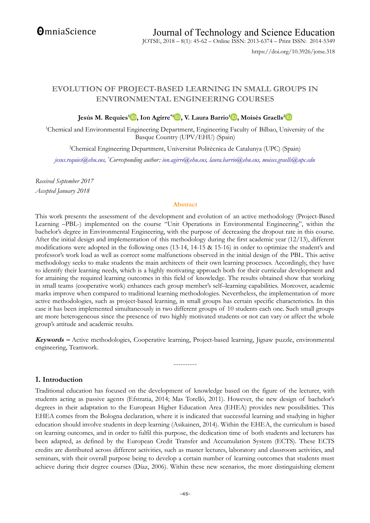**OmniaScience** 

https://doi.org/10.3926/jotse.318

# **EVOLUTION OF PROJECT-BASED LEARNING IN SMALL GROUPS IN ENVIRONMENTAL ENGINEERING COURSES**

# **Jesús M. Requies[1](http://orcid.org/0000-0003-1784-1343) , Ion Agirre\*[1](http://orcid.org/0000-0003-4546-539X) , V. Laura Barrio[1](http://orcid.org/0000-0003-2349-1183) , Moisès Graells[2](http://orcid.org/0000-0002-0553-2191)**

<sup>1</sup>Chemical and Environmental Engineering Department, Engineering Faculty of Bilbao, University of the Basque Country (UPV/EHU) (Spain)

<sup>2</sup>Chemical Engineering Department, Universitat Politècnica de Catalunya (UPC) (Spain)

*[jesus.requies@ehu.eus,](mailto:jesus.requies@ehu.eus) \*Corresponding author: [ion.agirre@ehu.eus,](mailto:ion.agirre@ehu.eus) [laura.barrio@ehu.eus,](mailto:laura.barrio@ehu.eus) [moises.graells@upc.edu](mailto:moises.graells@upc.edu)*

*Received September 2017 Accepted January 2018*

## **Abstract**

This work presents the assessment of the development and evolution of an active methodology (Project-Based Learning –PBL-) implemented on the course "Unit Operations in Environmental Engineering", within the bachelor's degree in Environmental Engineering, with the purpose of decreasing the dropout rate in this course. After the initial design and implementation of this methodology during the first academic year (12/13), different modifications were adopted in the following ones (13-14, 14-15 & 15-16) in order to optimize the student's and professor's work load as well as correct some malfunctions observed in the initial design of the PBL. This active methodology seeks to make students the main architects of their own learning processes. Accordingly, they have to identify their learning needs, which is a highly motivating approach both for their curricular development and for attaining the required learning outcomes in this field of knowledge. The results obtained show that working in small teams (cooperative work) enhances each group member's self–learning capabilities. Moreover, academic marks improve when compared to traditional learning methodologies. Nevertheless, the implementation of more active methodologies, such as project-based learning, in small groups has certain specific characteristics. In this case it has been implemented simultaneously in two different groups of 10 students each one. Such small groups are more heterogeneous since the presence of two highly motivated students or not can vary or affect the whole group's attitude and academic results.

**Keywords –** Active methodologies, Cooperative learning, Project-based learning, Jigsaw puzzle, environmental engineering, Teamwork.

----------

# **1. Introduction**

Traditional education has focused on the development of knowledge based on the figure of the lecturer, with students acting as passive agents (Efstratia, 2014; Mas Torelló, 2011). However, the new design of bachelor's degrees in their adaptation to the European Higher Education Area (EHEA) provides new possibilities. This EHEA comes from the Bologna declaration, where it is indicated that successful learning and studying in higher education should involve students in deep learning (Asikainen, 2014). Within the EHEA, the curriculum is based on learning outcomes, and in order to fulfil this purpose, the dedication time of both students and lecturers has been adapted, as defined by the European Credit Transfer and Accumulation System (ECTS). These ECTS credits are distributed across different activities, such as master lectures, laboratory and classroom activities, and seminars, with their overall purpose being to develop a certain number of learning outcomes that students must achieve during their degree courses (Díaz, 2006). Within these new scenarios, the more distinguishing element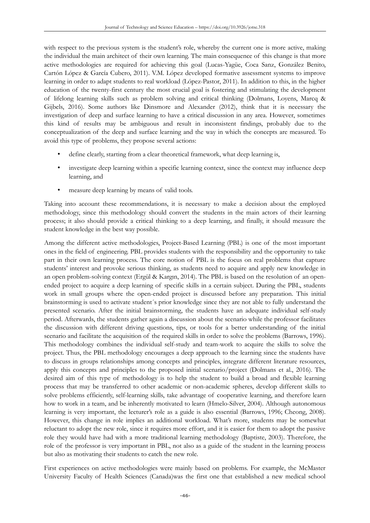with respect to the previous system is the student's role, whereby the current one is more active, making the individual the main architect of their own learning. The main consequence of this change is that more active methodologies are required for achieving this goal (Lucas-Yagüe, Coca Sanz, González Benito, Cartón López & García Cubero, 2011). V.M. López developed formative assessment systems to improve learning in order to adapt students to real workload (López-Pastor, 2011). In addition to this, in the higher education of the twenty-first century the most crucial goal is fostering and stimulating the development of lifelong learning skills such as problem solving and critical thinking (Dolmans, Loyens, Marcq & Gijbels, 2016). Some authors like Dinsmore and Alexander (2012), think that it is necessary the investigation of deep and surface learning to have a critical discussion in any area. However, sometimes this kind of results may be ambiguous and result in inconsistent findings, probably due to the conceptualization of the deep and surface learning and the way in which the concepts are measured. To avoid this type of problems, they propose several actions:

- define clearly, starting from a clear theoretical framework, what deep learning is,
- investigate deep learning within a specific learning context, since the context may influence deep learning, and
- measure deep learning by means of valid tools.

Taking into account these recommendations, it is necessary to make a decision about the employed methodology, since this methodology should convert the students in the main actors of their learning process; it also should provide a critical thinking to a deep learning, and finally, it should measure the student knowledge in the best way possible.

Among the different active methodologies, Project-Based Learning (PBL) is one of the most important ones in the field of engineering. PBL provides students with the responsibility and the opportunity to take part in their own learning process. The core notion of PBL is the focus on real problems that capture students' interest and provoke serious thinking, as students need to acquire and apply new knowledge in an open problem-solving context (Ergül & Kargın, 2014). The PBL is based on the resolution of an openended project to acquire a deep learning of specific skills in a certain subject. During the PBL, students work in small groups where the open-ended project is discussed before any preparation. This initial brainstorming is used to activate student´s prior knowledge since they are not able to fully understand the presented scenario. After the initial brainstorming, the students have an adequate individual self-study period. Afterwards, the students gather again a discussion about the scenario while the professor facilitates the discussion with different driving questions, tips, or tools for a better understanding of the initial scenario and facilitate the acquisition of the required skills in order to solve the problems (Barrows, 1996). This methodology combines the individual self-study and team-work to acquire the skills to solve the project. Thus, the PBL methodology encourages a deep approach to the learning since the students have to discuss in groups relationships among concepts and principles, integrate different literature resources, apply this concepts and principles to the proposed initial scenario/project (Dolmans et al., 2016). The desired aim of this type of methodology is to help the student to build a broad and flexible learning process that may be transferred to other academic or non-academic spheres, develop different skills to solve problems efficiently, self-learning skills, take advantage of cooperative learning, and therefore learn how to work in a team, and be inherently motivated to learn (Hmelo-Silver, 2004). Although autonomous learning is very important, the lecturer's role as a guide is also essential (Barrows, 1996; Cheong, 2008). However, this change in role implies an additional workload. What's more, students may be somewhat reluctant to adopt the new role, since it requires more effort, and it is easier for them to adopt the passive role they would have had with a more traditional learning methodology (Baptiste, 2003). Therefore, the role of the professor is very important in PBL, not also as a guide of the student in the learning process but also as motivating their students to catch the new role.

First experiences on active methodologies were mainly based on problems. For example, the McMaster University Faculty of Health Sciences (Canada)was the first one that established a new medical school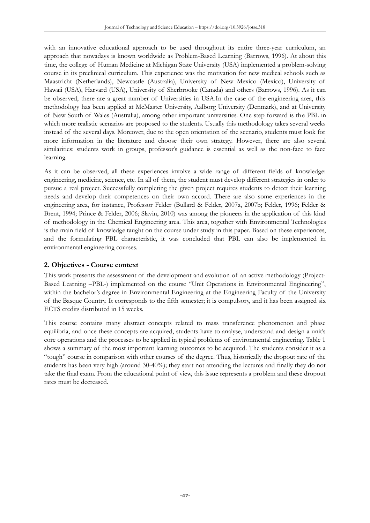with an innovative educational approach to be used throughout its entire three-year curriculum, an approach that nowadays is known worldwide as Problem-Based Learning (Barrows, 1996). At about this time, the college of Human Medicine at Michigan State University (USA) implemented a problem-solving course in its preclinical curriculum. This experience was the motivation for new medical schools such as Maastricht (Netherlands), Newcastle (Australia), University of New Mexico (Mexico), University of Hawaii (USA), Harvard (USA), University of Sherbrooke (Canada) and others (Barrows, 1996). As it can be observed, there are a great number of Universities in USA.In the case of the engineering area, this methodology has been applied at McMaster University, Aalborg University (Denmark), and at University of New South of Wales (Australia), among other important universities. One step forward is the PBL in which more realistic scenarios are proposed to the students. Usually this methodology takes several weeks instead of the several days. Moreover, due to the open orientation of the scenario, students must look for more information in the literature and choose their own strategy. However, there are also several similarities: students work in groups, professor's guidance is essential as well as the non-face to face learning.

As it can be observed, all these experiences involve a wide range of different fields of knowledge: engineering, medicine, science, etc. In all of them, the student must develop different strategies in order to pursue a real project. Successfully completing the given project requires students to detect their learning needs and develop their competences on their own accord. There are also some experiences in the engineering area, for instance, Professor Felder (Bullard & Felder, 2007a, 2007b; Felder, 1996; Felder & Brent, 1994; Prince & Felder, 2006; Slavin, 2010) was among the pioneers in the application of this kind of methodology in the Chemical Engineering area. This area, together with Environmental Technologies is the main field of knowledge taught on the course under study in this paper. Based on these experiences, and the formulating PBL characteristic, it was concluded that PBL can also be implemented in environmental engineering courses.

# **2. Objectives - Course context**

This work presents the assessment of the development and evolution of an active methodology (Project-Based Learning –PBL-) implemented on the course "Unit Operations in Environmental Engineering", within the bachelor's degree in Environmental Engineering at the Engineering Faculty of the University of the Basque Country. It corresponds to the fifth semester; it is compulsory, and it has been assigned six ECTS credits distributed in 15 weeks.

This course contains many abstract concepts related to mass transference phenomenon and phase equilibria, and once these concepts are acquired, students have to analyse, understand and design a unit's core operations and the processes to be applied in typical problems of environmental engineering. Table 1 shows a summary of the most important learning outcomes to be acquired. The students consider it as a "tough" course in comparison with other courses of the degree. Thus, historically the dropout rate of the students has been very high (around 30-40%); they start not attending the lectures and finally they do not take the final exam. From the educational point of view, this issue represents a problem and these dropout rates must be decreased.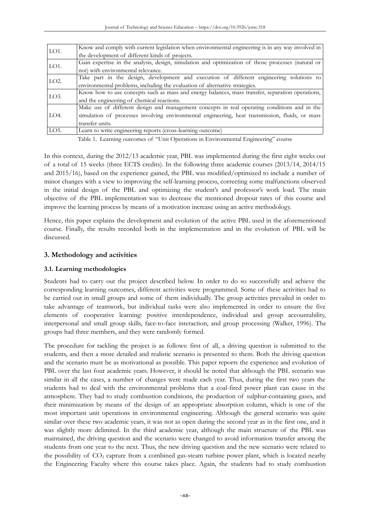| LO1.              | Know and comply with current legislation when environmental engineering is in any way involved in  |
|-------------------|----------------------------------------------------------------------------------------------------|
|                   | the development of different kinds of projects.                                                    |
| LO1.              | Gain expertise in the analysis, design, simulation and optimization of those processes (natural or |
|                   | not) with environmental relevance.                                                                 |
| LO <sub>2</sub> . | Take part in the design, development and execution of different engineering solutions to           |
|                   | environmental problems, including the evaluation of alternative strategies.                        |
| LO <sub>3</sub> . | Know how to use concepts such as mass and energy balances, mass transfer, separation operations,   |
|                   | and the engineering of chemical reactions.                                                         |
| LO4.              | Make use of different design and management concepts in real operating conditions and in the       |
|                   | simulation of processes involving environmental engineering, heat transmission, fluids, or mass    |
|                   | transfer units.                                                                                    |
| LO <sub>5</sub> . | Learn to write engineering reports (cross-learning outcome)                                        |

Table 1. Learning outcomes of "Unit Operations in Environmental Engineering" course

In this context, during the 2012/13 academic year, PBL was implemented during the first eight weeks out of a total of 15 weeks (three ECTS credits). In the following three academic courses (2013/14, 2014/15 and 2015/16), based on the experience gained, the PBL was modified/optimized to include a number of minor changes with a view to improving the self-learning process, correcting some malfunctions observed in the initial design of the PBL and optimizing the student's and professor's work load. The main objective of the PBL implementation was to decrease the mentioned dropout rates of this course and improve the learning process by means of a motivation increase using an active methodology.

Hence, this paper explains the development and evolution of the active PBL used in the aforementioned course. Finally, the results recorded both in the implementation and in the evolution of PBL will be discussed.

# **3. Methodology and activities**

## **3.1. Learning methodologies**

Students had to carry out the project described below. In order to do so successfully and achieve the corresponding learning outcomes, different activities were programmed. Some of these activities had to be carried out in small groups and some of them individually. The group activities prevailed in order to take advantage of teamwork, but individual tasks were also implemented in order to ensure the five elements of cooperative learning: positive interdependence, individual and group accountability, interpersonal and small group skills, face-to-face interaction, and group processing (Walker, 1996). The groups had three members, and they were randomly formed.

The procedure for tackling the project is as follows: first of all, a driving question is submitted to the students, and then a more detailed and realistic scenario is presented to them. Both the driving question and the scenario must be as motivational as possible. This paper reports the experience and evolution of PBL over the last four academic years. However, it should be noted that although the PBL scenario was similar in all the cases, a number of changes were made each year. Thus, during the first two years the students had to deal with the environmental problems that a coal-fired power plant can cause in the atmosphere. They had to study combustion conditions, the production of sulphur-containing gases, and their minimization by means of the design of an appropriate absorption column, which is one of the most important unit operations in environmental engineering. Although the general scenario was quite similar over these two academic years, it was not as open during the second year as in the first one, and it was slightly more delimited. In the third academic year, although the main structure of the PBL was maintained, the driving question and the scenario were changed to avoid information transfer among the students from one year to the next. Thus, the new driving question and the new scenario were related to the possibility of  $CO<sub>2</sub>$  capture from a combined gas-steam turbine power plant, which is located nearby the Engineering Faculty where this course takes place. Again, the students had to study combustion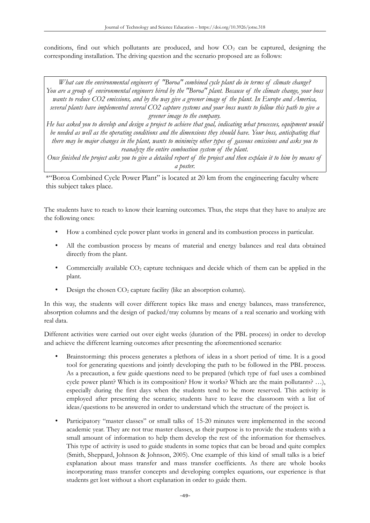conditions, find out which pollutants are produced, and how  $CO<sub>2</sub>$  can be captured, designing the corresponding installation. The driving question and the scenario proposed are as follows:

*What can the environmental engineers of "Boroa" combined cycle plant do in terms of climate change? You are a group of environmental engineers hired by the "Boroa" plant. Because of the climate change, your boss wants to reduce CO2 emissions, and by the way give a greener image of the plant. In Europe and America, several plants have implemented several CO2 capture systems and your boss wants to follow this path to give a greener image to the company.*

*He has asked you to develop and design a project to achieve that goal, indicating what processes, equipment would be needed as well as the operating conditions and the dimensions they should have. Your boss, anticipating that there may be major changes in the plant, wants to minimize other types of gaseous emissions and asks you to reanalyze the entire combustion system of the plant.*

*Once finished the project asks you to give a detailed report of the project and then explain it to him by means of a poster.*

\*"Boroa Combined Cycle Power Plant" is located at 20 km from the engineering faculty where this subject takes place.

The students have to reach to know their learning outcomes. Thus, the steps that they have to analyze are the following ones:

- How a combined cycle power plant works in general and its combustion process in particular.
- All the combustion process by means of material and energy balances and real data obtained directly from the plant.
- Commercially available  $CO<sub>2</sub>$  capture techniques and decide which of them can be applied in the plant.
- Design the chosen  $CO<sub>2</sub>$  capture facility (like an absorption column).

In this way, the students will cover different topics like mass and energy balances, mass transference, absorption columns and the design of packed/tray columns by means of a real scenario and working with real data.

Different activities were carried out over eight weeks (duration of the PBL process) in order to develop and achieve the different learning outcomes after presenting the aforementioned scenario:

- Brainstorming: this process generates a plethora of ideas in a short period of time. It is a good tool for generating questions and jointly developing the path to be followed in the PBL process. As a precaution, a few guide questions need to be prepared (which type of fuel uses a combined cycle power plant? Which is its composition? How it works? Which are the main pollutants? …), especially during the first days when the students tend to be more reserved. This activity is employed after presenting the scenario; students have to leave the classroom with a list of ideas/questions to be answered in order to understand which the structure of the project is.
- Participatory "master classes" or small talks of 15-20 minutes were implemented in the second academic year. They are not true master classes, as their purpose is to provide the students with a small amount of information to help them develop the rest of the information for themselves. This type of activity is used to guide students in some topics that can be broad and quite complex (Smith, Sheppard, Johnson & Johnson, 2005). One example of this kind of small talks is a brief explanation about mass transfer and mass transfer coefficients. As there are whole books incorporating mass transfer concepts and developing complex equations, our experience is that students get lost without a short explanation in order to guide them.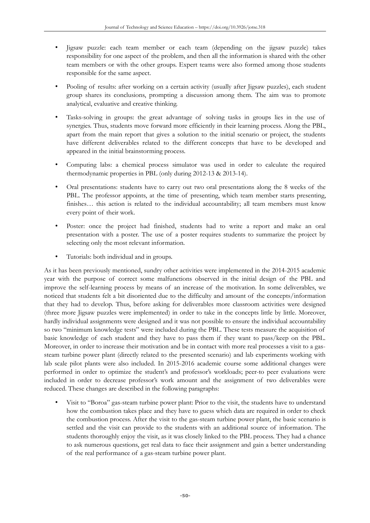- Jigsaw puzzle: each team member or each team (depending on the jigsaw puzzle) takes responsibility for one aspect of the problem, and then all the information is shared with the other team members or with the other groups. Expert teams were also formed among those students responsible for the same aspect.
- Pooling of results: after working on a certain activity (usually after Jigsaw puzzles), each student group shares its conclusions, prompting a discussion among them. The aim was to promote analytical, evaluative and creative thinking.
- Tasks-solving in groups: the great advantage of solving tasks in groups lies in the use of synergies. Thus, students move forward more efficiently in their learning process. Along the PBL, apart from the main report that gives a solution to the initial scenario or project, the students have different deliverables related to the different concepts that have to be developed and appeared in the initial brainstorming process.
- Computing labs: a chemical process simulator was used in order to calculate the required thermodynamic properties in PBL (only during 2012-13 & 2013-14).
- Oral presentations: students have to carry out two oral presentations along the 8 weeks of the PBL. The professor appoints, at the time of presenting, which team member starts presenting, finishes… this action is related to the individual accountability; all team members must know every point of their work.
- Poster: once the project had finished, students had to write a report and make an oral presentation with a poster. The use of a poster requires students to summarize the project by selecting only the most relevant information.
- Tutorials: both individual and in groups.

As it has been previously mentioned, sundry other activities were implemented in the 2014-2015 academic year with the purpose of correct some malfunctions observed in the initial design of the PBL and improve the self-learning process by means of an increase of the motivation. In some deliverables, we noticed that students felt a bit disoriented due to the difficulty and amount of the concepts/information that they had to develop. Thus, before asking for deliverables more classroom activities were designed (three more Jigsaw puzzles were implemented) in order to take in the concepts little by little. Moreover, hardly individual assignments were designed and it was not possible to ensure the individual accountability so two "minimum knowledge tests" were included during the PBL. These tests measure the acquisition of basic knowledge of each student and they have to pass them if they want to pass/keep on the PBL. Moreover, in order to increase their motivation and be in contact with more real processes a visit to a gassteam turbine power plant (directly related to the presented scenario) and lab experiments working with lab scale pilot plants were also included. In 2015-2016 academic course some additional changes were performed in order to optimize the student's and professor's workloads; peer-to peer evaluations were included in order to decrease professor's work amount and the assignment of two deliverables were reduced. These changes are described in the following paragraphs:

• Visit to "Boroa" gas-steam turbine power plant: Prior to the visit, the students have to understand how the combustion takes place and they have to guess which data are required in order to check the combustion process. After the visit to the gas-steam turbine power plant, the basic scenario is settled and the visit can provide to the students with an additional source of information. The students thoroughly enjoy the visit, as it was closely linked to the PBL process. They had a chance to ask numerous questions, get real data to face their assignment and gain a better understanding of the real performance of a gas-steam turbine power plant.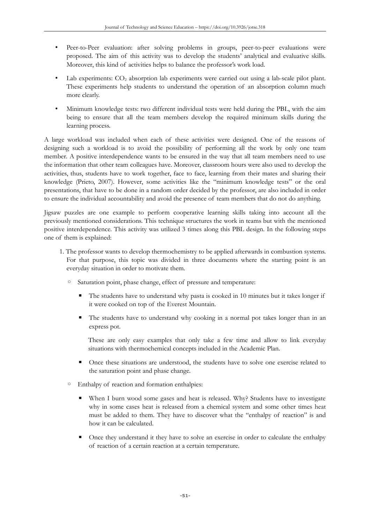- Peer-to-Peer evaluation: after solving problems in groups, peer-to-peer evaluations were proposed. The aim of this activity was to develop the students' analytical and evaluative skills. Moreover, this kind of activities helps to balance the professor's work load.
- Lab experiments: CO<sub>2</sub> absorption lab experiments were carried out using a lab-scale pilot plant. These experiments help students to understand the operation of an absorption column much more clearly.
- Minimum knowledge tests: two different individual tests were held during the PBL, with the aim being to ensure that all the team members develop the required minimum skills during the learning process.

A large workload was included when each of these activities were designed. One of the reasons of designing such a workload is to avoid the possibility of performing all the work by only one team member. A positive interdependence wants to be ensured in the way that all team members need to use the information that other team colleagues have. Moreover, classroom hours were also used to develop the activities, thus, students have to work together, face to face, learning from their mates and sharing their knowledge (Prieto, 2007). However, some activities like the "minimum knowledge tests" or the oral presentations, that have to be done in a random order decided by the professor, are also included in order to ensure the individual accountability and avoid the presence of team members that do not do anything.

Jigsaw puzzles are one example to perform cooperative learning skills taking into account all the previously mentioned considerations. This technique structures the work in teams but with the mentioned positive interdependence. This activity was utilized 3 times along this PBL design. In the following steps one of them is explained:

- 1. The professor wants to develop thermochemistry to be applied afterwards in combustion systems. For that purpose, this topic was divided in three documents where the starting point is an everyday situation in order to motivate them.
	- Saturation point, phase change, effect of pressure and temperature:
		- The students have to understand why pasta is cooked in 10 minutes but it takes longer if it were cooked on top of the Everest Mountain.
		- The students have to understand why cooking in a normal pot takes longer than in an express pot.

These are only easy examples that only take a few time and allow to link everyday situations with thermochemical concepts included in the Academic Plan.

- Once these situations are understood, the students have to solve one exercise related to the saturation point and phase change.
- Enthalpy of reaction and formation enthalpies:
	- When I burn wood some gases and heat is released. Why? Students have to investigate why in some cases heat is released from a chemical system and some other times heat must be added to them. They have to discover what the "enthalpy of reaction" is and how it can be calculated.
	- Once they understand it they have to solve an exercise in order to calculate the enthalpy of reaction of a certain reaction at a certain temperature.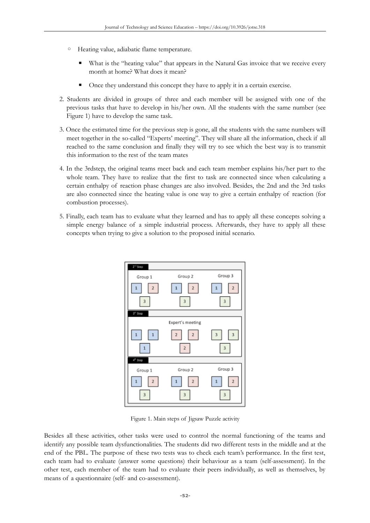- Heating value, adiabatic flame temperature.
	- What is the "heating value" that appears in the Natural Gas invoice that we receive every month at home? What does it mean?
	- Once they understand this concept they have to apply it in a certain exercise.
- 2. Students are divided in groups of three and each member will be assigned with one of the previous tasks that have to develop in his/her own. All the students with the same number (see Figure 1) have to develop the same task.
- 3. Once the estimated time for the previous step is gone, all the students with the same numbers will meet together in the so-called "Experts' meeting". They will share all the information, check if all reached to the same conclusion and finally they will try to see which the best way is to transmit this information to the rest of the team mates
- 4. In the 3rdstep, the original teams meet back and each team member explains his/her part to the whole team. They have to realize that the first to task are connected since when calculating a certain enthalpy of reaction phase changes are also involved. Besides, the 2nd and the 3rd tasks are also connected since the heating value is one way to give a certain enthalpy of reaction (for combustion processes).
- 5. Finally, each team has to evaluate what they learned and has to apply all these concepts solving a simple energy balance of a simple industrial process. Afterwards, they have to apply all these concepts when trying to give a solution to the proposed initial scenario.



Figure 1. Main steps of Jigsaw Puzzle activity

Besides all these activities, other tasks were used to control the normal functioning of the teams and identify any possible team dysfunctionalities. The students did two different tests in the middle and at the end of the PBL. The purpose of these two tests was to check each team's performance. In the first test, each team had to evaluate (answer some questions) their behaviour as a team (self-assessment). In the other test, each member of the team had to evaluate their peers individually, as well as themselves, by means of a questionnaire (self- and co-assessment).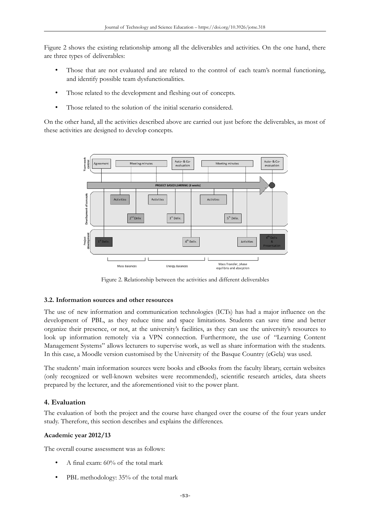Figure 2 shows the existing relationship among all the deliverables and activities. On the one hand, there are three types of deliverables:

- Those that are not evaluated and are related to the control of each team's normal functioning, and identify possible team dysfunctionalities.
- Those related to the development and fleshing out of concepts.
- Those related to the solution of the initial scenario considered.

On the other hand, all the activities described above are carried out just before the deliverables, as most of these activities are designed to develop concepts.



Figure 2. Relationship between the activities and different deliverables

## **3.2. Information sources and other resources**

The use of new information and communication technologies (ICTs) has had a major influence on the development of PBL, as they reduce time and space limitations. Students can save time and better organize their presence, or not, at the university's facilities, as they can use the university's resources to look up information remotely via a VPN connection. Furthermore, the use of "Learning Content Management Systems" allows lecturers to supervise work, as well as share information with the students. In this case, a Moodle version customised by the University of the Basque Country (eGela) was used.

The students' main information sources were books and eBooks from the faculty library, certain websites (only recognized or well-known websites were recommended), scientific research articles, data sheets prepared by the lecturer, and the aforementioned visit to the power plant.

## **4. Evaluation**

The evaluation of both the project and the course have changed over the course of the four years under study. Therefore, this section describes and explains the differences.

## **Academic year 2012/13**

The overall course assessment was as follows:

- A final exam: 60% of the total mark
- PBL methodology: 35% of the total mark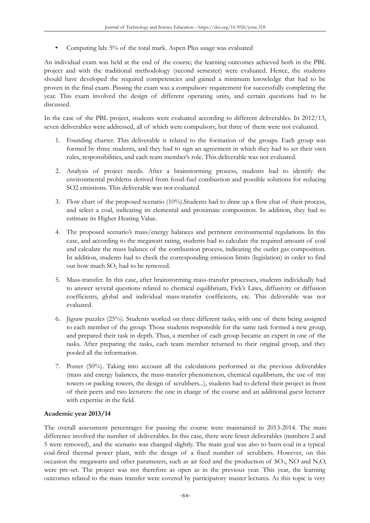• Computing lab: 5% of the total mark. Aspen Plus usage was evaluated

An individual exam was held at the end of the course; the learning outcomes achieved both in the PBL project and with the traditional methodology (second semester) were evaluated. Hence, the students should have developed the required competencies and gained a minimum knowledge that had to be proven in the final exam. Passing the exam was a compulsory requirement for successfully completing the year. This exam involved the design of different operating units, and certain questions had to be discussed.

In the case of the PBL project, students were evaluated according to different deliverables. In 2012/13, seven deliverables were addressed, all of which were compulsory, but three of them were not evaluated.

- 1. Founding charter. This deliverable is related to the formation of the groups. Each group was formed by three students, and they had to sign an agreement in which they had to set their own rules, responsibilities, and each team member's role. This deliverable was not evaluated.
- 2. Analysis of project needs. After a brainstorming process, students had to identify the environmental problems derived from fossil-fuel combustion and possible solutions for reducing SO2 emissions. This deliverable was not evaluated.
- 3. Flow chart of the proposed scenario  $(10\%)$ . Students had to draw up a flow chat of their process, and select a coal, indicating its elemental and proximate composition. In addition, they had to estimate its Higher Heating Value.
- 4. The proposed scenario's mass/energy balances and pertinent environmental regulations. In this case, and according to the megawatt rating, students had to calculate the required amount of coal and calculate the mass balance of the combustion process, indicating the outlet gas composition. In addition, students had to check the corresponding emission limits (legislation) in order to find out how much  $SO<sub>2</sub>$  had to be removed.
- 5. Mass-transfer. In this case, after brainstorming mass-transfer processes, students individually had to answer several questions related to chemical equilibrium, Fick's Laws, diffusivity or diffusion coefficients, global and individual mass-transfer coefficients, etc. This deliverable was not evaluated.
- 6. Jigsaw puzzles (25%). Students worked on three different tasks, with one of them being assigned to each member of the group. Those students responsible for the same task formed a new group, and prepared their task in depth. Thus, a member of each group became an expert in one of the tasks. After preparing the tasks, each team member returned to their original group, and they pooled all the information.
- 7. Poster (50%). Taking into account all the calculations performed in the previous deliverables (mass and energy balances, the mass-transfer phenomenon, chemical equilibrium, the use of tray towers or packing towers, the design of scrubbers...), students had to defend their project in front of their peers and two lecturers: the one in charge of the course and an additional guest lecturer with expertise in the field.

# **Academic year 2013/14**

The overall assessment percentages for passing the course were maintained in 2013-2014. The main difference involved the number of deliverables. In this case, there were fewer deliverables (numbers 2 and 5 were removed), and the scenario was changed slightly. The main goal was also to burn coal in a typical coal-fired thermal power plant, with the design of a fixed number of scrubbers. However, on this occasion the megawatts and other parameters, such as air feed and the production of  $SO<sub>3</sub>$ , NO and N<sub>2</sub>O, were pre-set. The project was not therefore as open as in the previous year. This year, the learning outcomes related to the mass transfer were covered by participatory master lectures. As this topic is very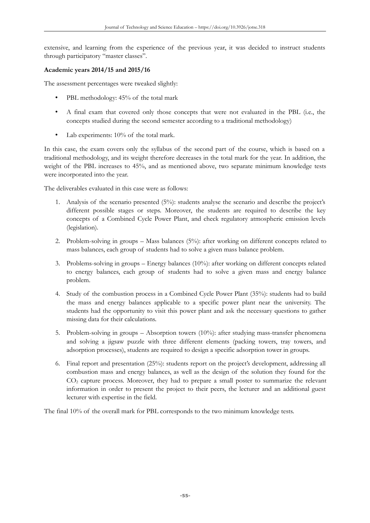extensive, and learning from the experience of the previous year, it was decided to instruct students through participatory "master classes".

# **Academic years 2014/15 and 2015/16**

The assessment percentages were tweaked slightly:

- PBL methodology: 45% of the total mark
- A final exam that covered only those concepts that were not evaluated in the PBL (i.e., the concepts studied during the second semester according to a traditional methodology)
- Lab experiments: 10% of the total mark.

In this case, the exam covers only the syllabus of the second part of the course, which is based on a traditional methodology, and its weight therefore decreases in the total mark for the year. In addition, the weight of the PBL increases to 45%, and as mentioned above, two separate minimum knowledge tests were incorporated into the year.

The deliverables evaluated in this case were as follows:

- 1. Analysis of the scenario presented (5%): students analyse the scenario and describe the project's different possible stages or steps. Moreover, the students are required to describe the key concepts of a Combined Cycle Power Plant, and check regulatory atmospheric emission levels (legislation).
- 2. Problem-solving in groups Mass balances (5%): after working on different concepts related to mass balances, each group of students had to solve a given mass balance problem.
- 3. Problems-solving in groups Energy balances (10%): after working on different concepts related to energy balances, each group of students had to solve a given mass and energy balance problem.
- 4. Study of the combustion process in a Combined Cycle Power Plant (35%): students had to build the mass and energy balances applicable to a specific power plant near the university. The students had the opportunity to visit this power plant and ask the necessary questions to gather missing data for their calculations.
- 5. Problem-solving in groups Absorption towers (10%): after studying mass-transfer phenomena and solving a jigsaw puzzle with three different elements (packing towers, tray towers, and adsorption processes), students are required to design a specific adsorption tower in groups.
- 6. Final report and presentation (25%): students report on the project's development, addressing all combustion mass and energy balances, as well as the design of the solution they found for the CO2 capture process. Moreover, they had to prepare a small poster to summarize the relevant information in order to present the project to their peers, the lecturer and an additional guest lecturer with expertise in the field.

The final 10% of the overall mark for PBL corresponds to the two minimum knowledge tests.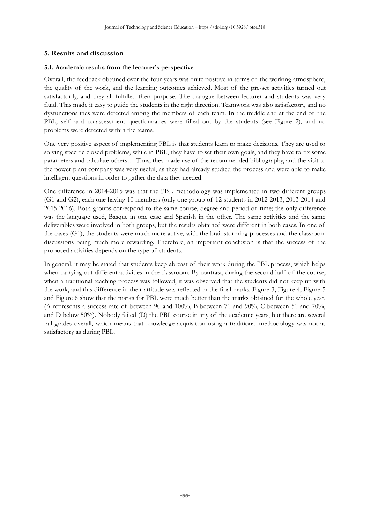# **5. Results and discussion**

# **5.1. Academic results from the lecturer's perspective**

Overall, the feedback obtained over the four years was quite positive in terms of the working atmosphere, the quality of the work, and the learning outcomes achieved. Most of the pre-set activities turned out satisfactorily, and they all fulfilled their purpose. The dialogue between lecturer and students was very fluid. This made it easy to guide the students in the right direction. Teamwork was also satisfactory, and no dysfunctionalities were detected among the members of each team. In the middle and at the end of the PBL, self and co-assessment questionnaires were filled out by the students (see Figure 2), and no problems were detected within the teams.

One very positive aspect of implementing PBL is that students learn to make decisions. They are used to solving specific closed problems, while in PBL, they have to set their own goals, and they have to fix some parameters and calculate others… Thus, they made use of the recommended bibliography, and the visit to the power plant company was very useful, as they had already studied the process and were able to make intelligent questions in order to gather the data they needed.

One difference in 2014-2015 was that the PBL methodology was implemented in two different groups (G1 and G2), each one having 10 members (only one group of 12 students in 2012-2013, 2013-2014 and 2015-2016). Both groups correspond to the same course, degree and period of time; the only difference was the language used, Basque in one case and Spanish in the other. The same activities and the same deliverables were involved in both groups, but the results obtained were different in both cases. In one of the cases (G1), the students were much more active, with the brainstorming processes and the classroom discussions being much more rewarding. Therefore, an important conclusion is that the success of the proposed activities depends on the type of students.

In general, it may be stated that students keep abreast of their work during the PBL process, which helps when carrying out different activities in the classroom. By contrast, during the second half of the course, when a traditional teaching process was followed, it was observed that the students did not keep up with the work, and this difference in their attitude was reflected in the final marks. Figure 3, Figure 4, Figure 5 and Figure 6 show that the marks for PBL were much better than the marks obtained for the whole year. (A represents a success rate of between 90 and 100%, B between 70 and 90%, C between 50 and 70%, and D below 50%). Nobody failed (D) the PBL course in any of the academic years, but there are several fail grades overall, which means that knowledge acquisition using a traditional methodology was not as satisfactory as during PBL.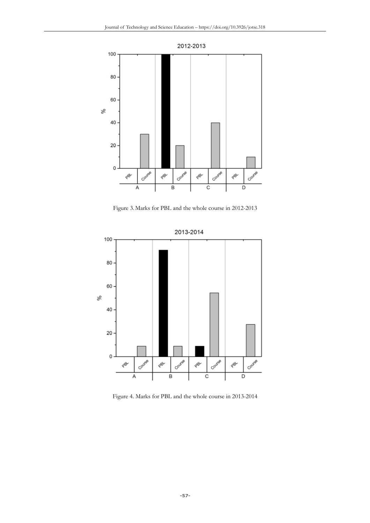

Figure 3.Marks for PBL and the whole course in 2012-2013



Figure 4. Marks for PBL and the whole course in 2013-2014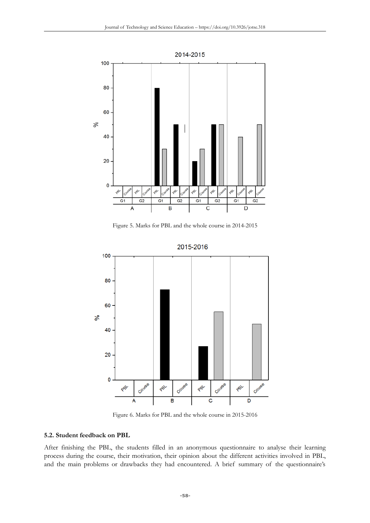

Figure 5. Marks for PBL and the whole course in 2014-2015



Figure 6. Marks for PBL and the whole course in 2015-2016

#### **5.2. Student feedback on PBL**

After finishing the PBL, the students filled in an anonymous questionnaire to analyse their learning process during the course, their motivation, their opinion about the different activities involved in PBL, and the main problems or drawbacks they had encountered. A brief summary of the questionnaire's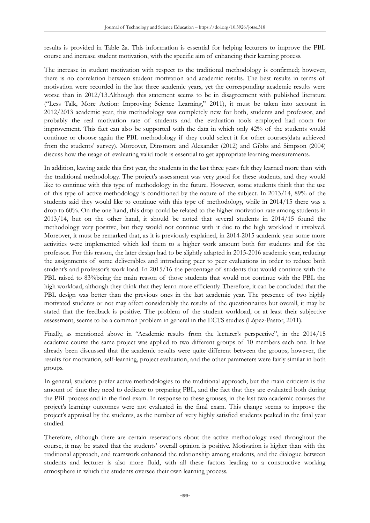results is provided in Table 2a. This information is essential for helping lecturers to improve the PBL course and increase student motivation, with the specific aim of enhancing their learning process.

The increase in student motivation with respect to the traditional methodology is confirmed; however, there is no correlation between student motivation and academic results. The best results in terms of motivation were recorded in the last three academic years, yet the corresponding academic results were worse than in 2012/13.Although this statement seems to be in disagreement with published literature ("Less Talk, More Action: Improving Science Learning," 2011), it must be taken into account in 2012/2013 academic year, this methodology was completely new for both, students and professor, and probably the real motivation rate of students and the evaluation tools employed had room for improvement. This fact can also be supported with the data in which only 42% of the students would continue or choose again the PBL methodology if they could select it for other courses(data achieved from the students' survey). Moreover, Dinsmore and Alexander (2012) and Gibbs and Simpson (2004) discuss how the usage of evaluating valid tools is essential to get appropriate learning measurements.

In addition, leaving aside this first year, the students in the last three years felt they learned more than with the traditional methodology. The project's assessment was very good for these students, and they would like to continue with this type of methodology in the future. However, some students think that the use of this type of active methodology is conditioned by the nature of the subject. In 2013/14, 89% of the students said they would like to continue with this type of methodology, while in 2014/15 there was a drop to 60%. On the one hand, this drop could be related to the higher motivation rate among students in 2013/14, but on the other hand, it should be noted that several students in 2014/15 found the methodology very positive, but they would not continue with it due to the high workload it involved. Moreover, it must be remarked that, as it is previously explained, in 2014-2015 academic year some more activities were implemented which led them to a higher work amount both for students and for the professor. For this reason, the later design had to be slightly adapted in 2015-2016 academic year, reducing the assignments of some deliverables and introducing peer to peer evaluations in order to reduce both student's and professor's work load. In 2015/16 the percentage of students that would continue with the PBL raised to 83%being the main reason of those students that would not continue with the PBL the high workload, although they think that they learn more efficiently. Therefore, it can be concluded that the PBL design was better than the previous ones in the last academic year. The presence of two highly motivated students or not may affect considerably the results of the questionnaires but overall, it may be stated that the feedback is positive. The problem of the student workload, or at least their subjective assessment, seems to be a common problem in general in the ECTS studies (López-Pastor, 2011).

Finally, as mentioned above in "Academic results from the lecturer's perspective", in the 2014/15 academic course the same project was applied to two different groups of 10 members each one. It has already been discussed that the academic results were quite different between the groups; however, the results for motivation, self-learning, project evaluation, and the other parameters were fairly similar in both groups.

In general, students prefer active methodologies to the traditional approach, but the main criticism is the amount of time they need to dedicate to preparing PBL, and the fact that they are evaluated both during the PBL process and in the final exam. In response to these grouses, in the last two academic courses the project's learning outcomes were not evaluated in the final exam. This change seems to improve the project's appraisal by the students, as the number of very highly satisfied students peaked in the final year studied.

Therefore, although there are certain reservations about the active methodology used throughout the course, it may be stated that the students' overall opinion is positive. Motivation is higher than with the traditional approach, and teamwork enhanced the relationship among students, and the dialogue between students and lecturer is also more fluid, with all these factors leading to a constructive working atmosphere in which the students oversee their own learning process.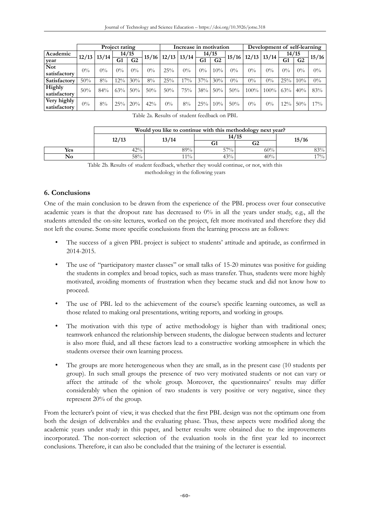|              | Project rating |       |       |                |       | Increase in motivation |       |       |                | Development of self-learning |       |         |        |       |       |
|--------------|----------------|-------|-------|----------------|-------|------------------------|-------|-------|----------------|------------------------------|-------|---------|--------|-------|-------|
| Academic     | 12/13          | 13/14 | 14/15 |                | 15/16 | 12/13                  | 13/14 | 14/15 |                | 15/16                        | 12/13 | 13/14   | 14/15  |       | 15/16 |
| vear         |                |       | G1    | G <sub>2</sub> |       |                        |       | G1    | G <sub>2</sub> |                              |       |         | G1     | G2    |       |
| <b>Not</b>   | $0\%$          | $0\%$ | $0\%$ | $0\%$          | $0\%$ | 25%                    | $0\%$ | $0\%$ | 10%            | $0\%$                        | $0\%$ | $0\%$   | $0\%$  | $0\%$ | $0\%$ |
| satisfactory |                |       |       |                |       |                        |       |       |                |                              |       |         |        |       |       |
| Satisfactory | 50%            | 8%    | 12%   | 30%            | $8\%$ | 25%                    | 17%   | 37%   | 30%            | $0\%$                        | $0\%$ | $0\%$   | 25%    | 10%   | $0\%$ |
| Highly       | 50%            | 84%   | 63%   | 50%            | 50%   | 50%                    | 75%   | 38%   | 50%            | 50%                          | 100%  | $100\%$ | 63%    | 40%   | 83%   |
| satisfactory |                |       |       |                |       |                        |       |       |                |                              |       |         |        |       |       |
| Very highly  | $0\%$          | 8%    | 25%   | 20%            | 42%   | $0\%$                  | 8%    | 25%   | 10%            | 50%                          | $0\%$ | $0\%$   | $12\%$ | 50%   | 17%   |
| satisfactory |                |       |       |                |       |                        |       |       |                |                              |       |         |        |       |       |

|     | Would you like to continue with this methodology next year? |       |       |       |                    |  |  |  |  |  |  |
|-----|-------------------------------------------------------------|-------|-------|-------|--------------------|--|--|--|--|--|--|
|     | 12/13                                                       | 13/14 | 14/15 | 15/16 |                    |  |  |  |  |  |  |
|     |                                                             |       |       | G2    |                    |  |  |  |  |  |  |
| Yes | 42%                                                         | 99%   | 57%   | 60%   |                    |  |  |  |  |  |  |
| No  | 58%                                                         | $1\%$ | 43%   | 40%   | 170/0 <sub>1</sub> |  |  |  |  |  |  |

Table 2b. Results of student feedback, whether they would continue, or not, with this methodology in the following years

# **6. Conclusions**

One of the main conclusion to be drawn from the experience of the PBL process over four consecutive academic years is that the dropout rate has decreased to 0% in all the years under study, e.g., all the students attended the on-site lectures, worked on the project, felt more motivated and therefore they did not left the course. Some more specific conclusions from the learning process are as follows:

- The success of a given PBL project is subject to students' attitude and aptitude, as confirmed in 2014-2015.
- The use of "participatory master classes" or small talks of 15-20 minutes was positive for guiding the students in complex and broad topics, such as mass transfer. Thus, students were more highly motivated, avoiding moments of frustration when they became stuck and did not know how to proceed.
- The use of PBL led to the achievement of the course's specific learning outcomes, as well as those related to making oral presentations, writing reports, and working in groups.
- The motivation with this type of active methodology is higher than with traditional ones; teamwork enhanced the relationship between students, the dialogue between students and lecturer is also more fluid, and all these factors lead to a constructive working atmosphere in which the students oversee their own learning process.
- The groups are more heterogeneous when they are small, as in the present case (10 students per group). In such small groups the presence of two very motivated students or not can vary or affect the attitude of the whole group. Moreover, the questionnaires' results may differ considerably when the opinion of two students is very positive or very negative, since they represent 20% of the group.

From the lecturer's point of view, it was checked that the first PBL design was not the optimum one from both the design of deliverables and the evaluating phase. Thus, these aspects were modified along the academic years under study in this paper, and better results were obtained due to the improvements incorporated. The non-correct selection of the evaluation tools in the first year led to incorrect conclusions. Therefore, it can also be concluded that the training of the lecturer is essential.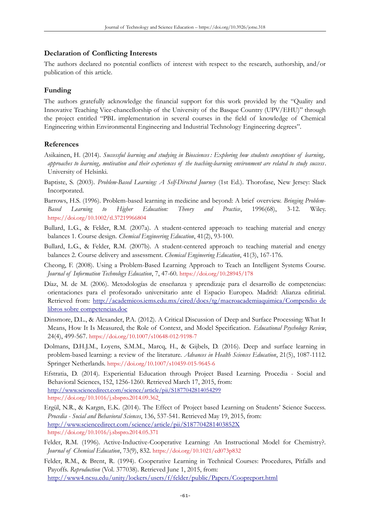#### **Declaration of Conflicting Interests**

The authors declared no potential conflicts of interest with respect to the research, authorship, and/or publication of this article.

#### **Funding**

The authors gratefully acknowledge the financial support for this work provided by the "Quality and Innovative Teaching Vice-chancellorship of the University of the Basque Country (UPV/EHU)" through the project entitled "PBL implementation in several courses in the field of knowledge of Chemical Engineering within Environmental Engineering and Industrial Technology Engineering degrees".

#### **References**

- Asikainen, H. (2014). *Successful learning and studying in Biosciences : Exploring how students conceptions of learning, approaches to learning, motivation and their experiences of the teaching-learning environment are related to study success*. University of Helsinki.
- Baptiste, S. (2003). *Problem-Based Learning: A Self-Directed Journey* (1st Ed.). Thorofase, New Jersey: Slack Incorporated.
- Barrows, H.S. (1996). Problem-based learning in medicine and beyond: A brief overview. *Bringing Problem-Based Learning to Higher Education: Theory and Practice*, 1996(68), 3-12. Wiley. <https://doi.org/10.1002/tl.37219966804>
- Bullard, L.G., & Felder, R.M. (2007a). A student-centered approach to teaching material and energy balances 1. Course design. *Chemical Engineering Education*, 41(2), 93-100.
- Bullard, L.G., & Felder, R.M. (2007b). A student-centered approach to teaching material and energy balances 2. Course delivery and assessment. *Chemical Engineering Education*, 41(3), 167-176.
- Cheong, F. (2008). Using a Problem-Based Learning Approach to Teach an Intelligent Systems Course. *Journal of Information Technology Education*, 7, 47-60. <https://doi.org/10.28945/178>
- Díaz, M. de M. (2006). Metodologías de enseñanza y aprendizaje para el desarrollo de competencias: orientaciones para el profesorado universitario ante el Espacio Europeo. Madrid: Alianza editirial. Retrieved from: [http://academicos.iems.edu.mx/cired/docs/tg/macroacademiaquimica/Compendio de](http://academicos.iems.edu.mx/cired/docs/tg/macroacademiaquimica/Compendio%20de%20libros%20sobre%20competencias.doc) [libros sobre competencias.doc](http://academicos.iems.edu.mx/cired/docs/tg/macroacademiaquimica/Compendio%20de%20libros%20sobre%20competencias.doc)
- Dinsmore, D.L., & Alexander, P.A. (2012). A Critical Discussion of Deep and Surface Processing: What It Means, How It Is Measured, the Role of Context, and Model Specification. *Educational Psychology Review*, 24(4), 499-567. <https://doi.org/10.1007/s10648-012-9198-7>
- Dolmans, D.H.J.M., Loyens, S.M.M., Marcq, H., & Gijbels, D. (2016). Deep and surface learning in problem-based learning: a review of the literature. *Advances in Health Sciences Education*, 21(5), 1087-1112. Springer Netherlands. <https://doi.org/10.1007/s10459-015-9645-6>
- Efstratia, D. (2014). Experiential Education through Project Based Learning. Procedia Social and Behavioral Sciences, 152, 1256-1260. Retrieved March 17, 2015, from: <http://www.sciencedirect.com/science/article/pii/S1877042814054299> <https://doi.org/10.1016/j.sbspro.2014.09.362>
- Ergül, N.R., & Kargın, E.K. (2014). The Effect of Project based Learning on Students' Science Success. *Procedia - Social and Behavioral Sciences*, 136, 537-541. Retrieved May 19, 2015, from: <http://www.sciencedirect.com/science/article/pii/S187704281403852X> <https://doi.org/10.1016/j.sbspro.2014.05.371>
- Felder, R.M. (1996). Active-Inductive-Cooperative Learning: An Instructional Model for Chemistry?. *Journal of Chemical Education*, 73(9), 832. <https://doi.org/10.1021/ed073p832>
- Felder, R.M., & Brent, R. (1994). Cooperative Learning in Technical Courses: Procedures, Pitfalls and Payoffs. *Reproduction* (Vol. 377038). Retrieved June 1, 2015, from: <http://www4.ncsu.edu/unity/lockers/users/f/felder/public/Papers/Coopreport.html>